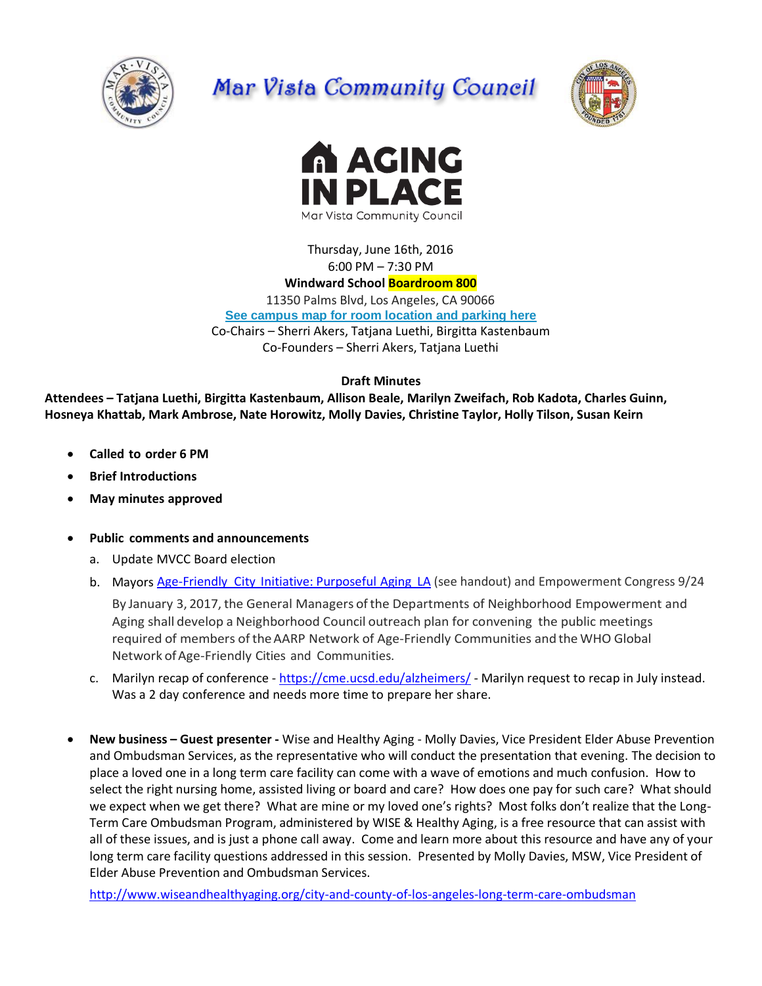

# Mar Vista Community Council





Thursday, June 16th, 2016 6:00 PM – 7:30 PM

## **Windward School Boardroom 800**

11350 Palms Blvd, Los Angeles, CA 90066 **[See campus map for room location and parking here](https://windwardschool.myschoolapp.com/ftpimages/176/download/download_1671327.pdf)** Co-Chairs – Sherri Akers, Tatjana Luethi, Birgitta Kastenbaum Co-Founders – Sherri Akers, Tatjana Luethi

**Draft Minutes**

**Attendees – Tatjana Luethi, Birgitta Kastenbaum, Allison Beale, Marilyn Zweifach, Rob Kadota, Charles Guinn, Hosneya Khattab, Mark Ambrose, Nate Horowitz, Molly Davies, Christine Taylor, Holly Tilson, Susan Keirn**

- **Called to order 6 PM**
- **Brief Introductions**
- **May minutes approved**
- **Public comments and announcements**
	- a. Update MVCC Board election
	- b. Mayors Age-Friendly City [Initiative: Purposeful](http://www.lamayor.org/los-angeles-commits-%E2%80%98age-friendly%E2%80%99-future-better-serve-growing-older-adult-population) Aging LA (see handout) and Empowerment Congress 9/24 By January 3, 2017, the General Managers ofthe Departments of Neighborhood Empowerment and Aging shall develop a Neighborhood Council outreach plan for convening the public meetings required of members of theAARP Network of Age-Friendly Communities and the WHO Global Network of Age-Friendly Cities and Communities.
	- c. Marilyn recap of conference <https://cme.ucsd.edu/alzheimers/> Marilyn request to recap in July instead. Was a 2 day conference and needs more time to prepare her share.
- **New business – Guest presenter -** Wise and Healthy Aging Molly Davies, Vice President Elder Abuse Prevention and Ombudsman Services, as the representative who will conduct the presentation that evening. The decision to place a loved one in a long term care facility can come with a wave of emotions and much confusion. How to select the right nursing home, assisted living or board and care? How does one pay for such care? What should we expect when we get there? What are mine or my loved one's rights? Most folks don't realize that the Long-Term Care Ombudsman Program, administered by WISE & Healthy Aging, is a free resource that can assist with all of these issues, and is just a phone call away. Come and learn more about this resource and have any of your long term care facility questions addressed in this session. Presented by Molly Davies, MSW, Vice President of Elder Abuse Prevention and Ombudsman Services.

<http://www.wiseandhealthyaging.org/city-and-county-of-los-angeles-long-term-care-ombudsman>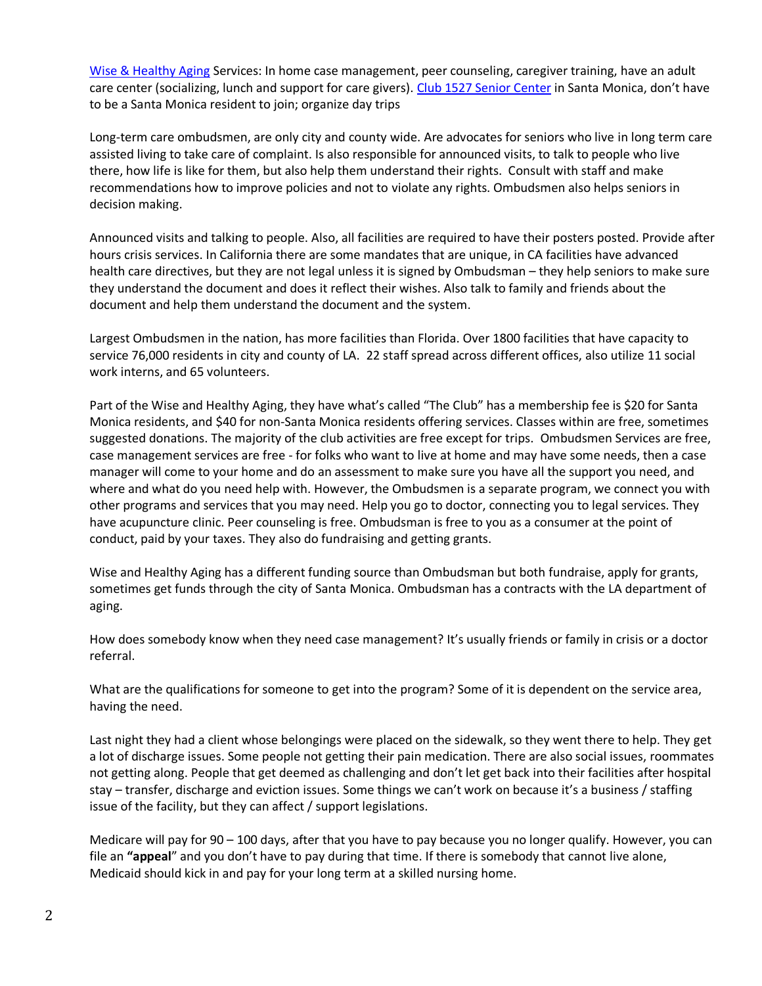[Wise & Healthy Aging](http://wiseandhealthyaging.org/) Services: In home case management, peer counseling, caregiver training, have an adult care center (socializing, lunch and support for care givers). [Club 1527 Senior Center](http://wiseandhealthyaging.org/club-1527) in Santa Monica, don't have to be a Santa Monica resident to join; organize day trips

Long-term care ombudsmen, are only city and county wide. Are advocates for seniors who live in long term care assisted living to take care of complaint. Is also responsible for announced visits, to talk to people who live there, how life is like for them, but also help them understand their rights. Consult with staff and make recommendations how to improve policies and not to violate any rights. Ombudsmen also helps seniors in decision making.

Announced visits and talking to people. Also, all facilities are required to have their posters posted. Provide after hours crisis services. In California there are some mandates that are unique, in CA facilities have advanced health care directives, but they are not legal unless it is signed by Ombudsman – they help seniors to make sure they understand the document and does it reflect their wishes. Also talk to family and friends about the document and help them understand the document and the system.

Largest Ombudsmen in the nation, has more facilities than Florida. Over 1800 facilities that have capacity to service 76,000 residents in city and county of LA. 22 staff spread across different offices, also utilize 11 social work interns, and 65 volunteers.

Part of the Wise and Healthy Aging, they have what's called "The Club" has a membership fee is \$20 for Santa Monica residents, and \$40 for non-Santa Monica residents offering services. Classes within are free, sometimes suggested donations. The majority of the club activities are free except for trips. Ombudsmen Services are free, case management services are free - for folks who want to live at home and may have some needs, then a case manager will come to your home and do an assessment to make sure you have all the support you need, and where and what do you need help with. However, the Ombudsmen is a separate program, we connect you with other programs and services that you may need. Help you go to doctor, connecting you to legal services. They have acupuncture clinic. Peer counseling is free. Ombudsman is free to you as a consumer at the point of conduct, paid by your taxes. They also do fundraising and getting grants.

Wise and Healthy Aging has a different funding source than Ombudsman but both fundraise, apply for grants, sometimes get funds through the city of Santa Monica. Ombudsman has a contracts with the LA department of aging.

How does somebody know when they need case management? It's usually friends or family in crisis or a doctor referral.

What are the qualifications for someone to get into the program? Some of it is dependent on the service area, having the need.

Last night they had a client whose belongings were placed on the sidewalk, so they went there to help. They get a lot of discharge issues. Some people not getting their pain medication. There are also social issues, roommates not getting along. People that get deemed as challenging and don't let get back into their facilities after hospital stay – transfer, discharge and eviction issues. Some things we can't work on because it's a business / staffing issue of the facility, but they can affect / support legislations.

Medicare will pay for 90 – 100 days, after that you have to pay because you no longer qualify. However, you can file an **"appeal**" and you don't have to pay during that time. If there is somebody that cannot live alone, Medicaid should kick in and pay for your long term at a skilled nursing home.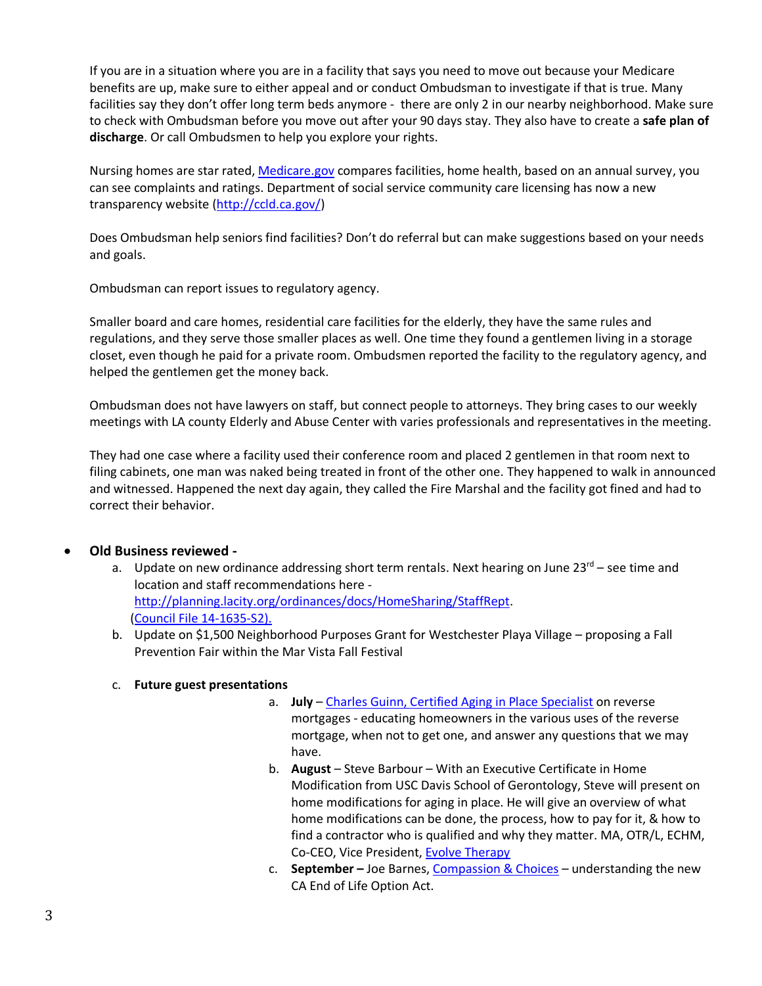If you are in a situation where you are in a facility that says you need to move out because your Medicare benefits are up, make sure to either appeal and or conduct Ombudsman to investigate if that is true. Many facilities say they don't offer long term beds anymore - there are only 2 in our nearby neighborhood. Make sure to check with Ombudsman before you move out after your 90 days stay. They also have to create a **safe plan of discharge**. Or call Ombudsmen to help you explore your rights.

Nursing homes are star rated[, Medicare.gov](https://www.medicare.gov/) compares facilities, home health, based on an annual survey, you can see complaints and ratings. Department of social service community care licensing has now a new transparency website [\(http://ccld.ca.gov/\)](http://ccld.ca.gov/)

Does Ombudsman help seniors find facilities? Don't do referral but can make suggestions based on your needs and goals.

Ombudsman can report issues to regulatory agency.

Smaller board and care homes, residential care facilities for the elderly, they have the same rules and regulations, and they serve those smaller places as well. One time they found a gentlemen living in a storage closet, even though he paid for a private room. Ombudsmen reported the facility to the regulatory agency, and helped the gentlemen get the money back.

Ombudsman does not have lawyers on staff, but connect people to attorneys. They bring cases to our weekly meetings with LA county Elderly and Abuse Center with varies professionals and representatives in the meeting.

They had one case where a facility used their conference room and placed 2 gentlemen in that room next to filing cabinets, one man was naked being treated in front of the other one. They happened to walk in announced and witnessed. Happened the next day again, they called the Fire Marshal and the facility got fined and had to correct their behavior.

## **Old Business reviewed -**

- a. Update on new ordinance addressing short term rentals. Next hearing on June  $23^{rd}$  see time and location and staff recommendations here [http://planning.lacity.org/ordinances/docs/HomeSharing/StaffRept.](http://planning.lacity.org/ordinances/docs/HomeSharing/StaffRept) [\(Council File 14-1635-S2\)](https://cityclerk.lacity.org/lacityclerkconnect/index.cfm?fa=ccfi.viewrecord&cfnumber=14-1635-S2).
- b. Update on \$1,500 Neighborhood Purposes Grant for Westchester Playa Village proposing a Fall Prevention Fair within the Mar Vista Fall Festival

### c. **Future guest presentations**

- a. **July**  [Charles Guinn, Certified Aging in Place Specialist](http://www.charlesguinn.com/) on reverse mortgages - educating homeowners in the various uses of the reverse mortgage, when not to get one, and answer any questions that we may have.
- b. **August**  Steve Barbour With an Executive Certificate in Home Modification from USC Davis School of Gerontology, Steve will present on home modifications for aging in place. He will give an overview of what home modifications can be done, the process, how to pay for it, & how to find a contractor who is qualified and why they matter. MA, OTR/L, ECHM, Co-CEO, Vice President, [Evolve Therapy](http://www.evolvetherapy.us/)
- c. **September –** Joe Barnes, [Compassion & Choices](https://www.compassionandchoices.org/) understanding the new CA End of Life Option Act.